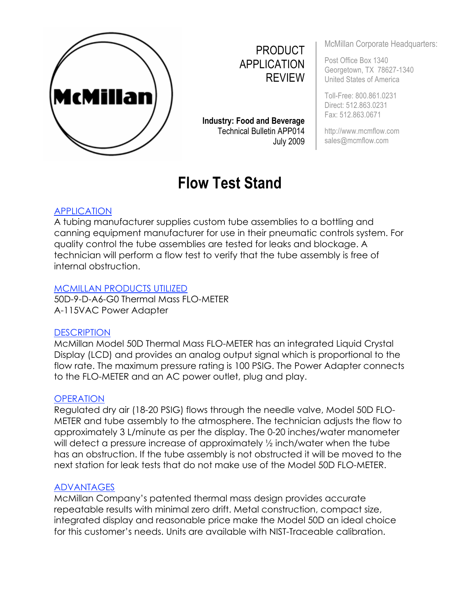

PRODUCT APPLICATION REVIEW

**Industry: Food and Beverage**  Technical Bulletin APP014 July 2009

# **Flow Test Stand**

McMillan Corporate Headquarters:

Post Office Box 1340 Georgetown, TX 78627-1340 United States of America

Toll-Free: 800.861.0231 Direct: 512.863.0231 Fax: 512.863.0671

http://www.mcmflow.com sales@mcmflow.com

## APPLICATION

A tubing manufacturer supplies custom tube assemblies to a bottling and canning equipment manufacturer for use in their pneumatic controls system. For quality control the tube assemblies are tested for leaks and blockage. A technician will perform a flow test to verify that the tube assembly is free of internal obstruction.

#### MCMILLAN PRODUCTS UTILIZED

50D-9-D-A6-G0 Thermal Mass FLO-METER A-115VAC Power Adapter

#### **DESCRIPTION**

McMillan Model 50D Thermal Mass FLO-METER has an integrated Liquid Crystal Display (LCD) and provides an analog output signal which is proportional to the flow rate. The maximum pressure rating is 100 PSIG. The Power Adapter connects to the FLO-METER and an AC power outlet, plug and play.

#### **OPERATION**

Regulated dry air (18-20 PSIG) flows through the needle valve, Model 50D FLO-METER and tube assembly to the atmosphere. The technician adjusts the flow to approximately 3 L/minute as per the display. The 0-20 inches/water manometer will detect a pressure increase of approximately  $\frac{1}{2}$  inch/water when the tube has an obstruction. If the tube assembly is not obstructed it will be moved to the next station for leak tests that do not make use of the Model 50D FLO-METER.

#### ADVANTAGES

McMillan Company's patented thermal mass design provides accurate repeatable results with minimal zero drift. Metal construction, compact size, integrated display and reasonable price make the Model 50D an ideal choice for this customer's needs. Units are available with NIST-Traceable calibration.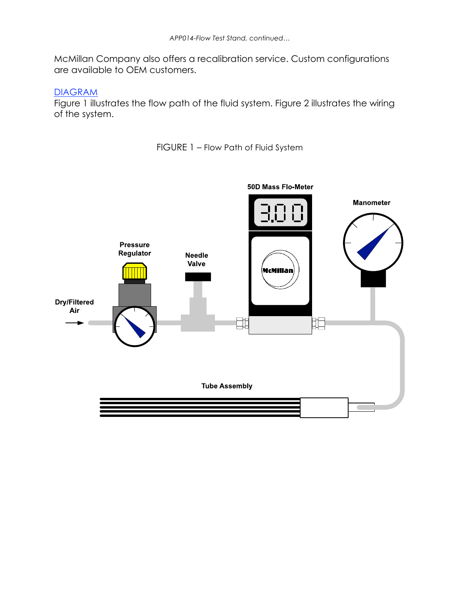McMillan Company also offers a recalibration service. Custom configurations are available to OEM customers.

#### DIAGRAM

Figure 1 illustrates the flow path of the fluid system. Figure 2 illustrates the wiring of the system.

FIGURE 1 – Flow Path of Fluid System